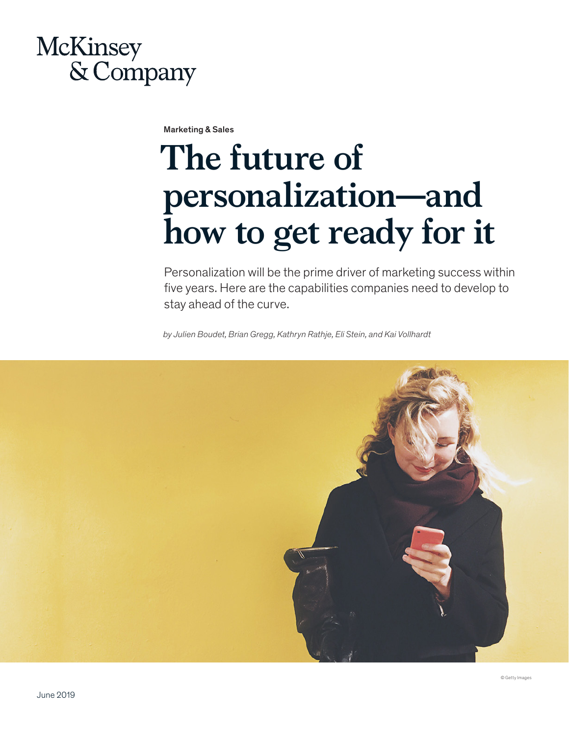## **McKinsey** & Company

Marketing & Sales

# **The future of personalization—and how to get ready for it**

Personalization will be the prime driver of marketing success within five years. Here are the capabilities companies need to develop to stay ahead of the curve.

*by Julien Boudet, Brian Gregg, Kathryn Rathje, Eli Stein, and Kai Vollhardt*

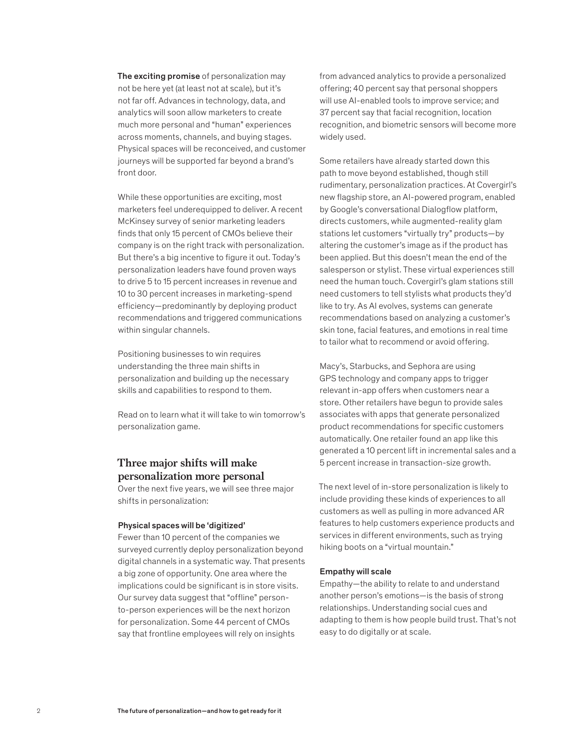The exciting promise of personalization may not be here yet (at least not at scale), but it's not far off. Advances in technology, data, and analytics will soon allow marketers to create much more personal and "human" experiences across moments, channels, and buying stages. Physical spaces will be reconceived, and customer journeys will be supported far beyond a brand's front door.

While these opportunities are exciting, most marketers feel underequipped to deliver. A recent McKinsey survey of senior marketing leaders finds that only 15 percent of CMOs believe their company is on the right track with personalization. But there's a big incentive to figure it out. Today's personalization leaders have found proven ways to drive 5 to 15 percent increases in revenue and 10 to 30 percent increases in marketing-spend efficiency—predominantly by deploying product recommendations and triggered communications within singular channels.

Positioning businesses to win requires understanding the three main shifts in personalization and building up the necessary skills and capabilities to respond to them.

Read on to learn what it will take to win tomorrow's personalization game.

### **Three major shifts will make personalization more personal**

Over the next five years, we will see three major shifts in personalization:

#### Physical spaces will be 'digitized'

Fewer than 10 percent of the companies we surveyed currently deploy personalization beyond digital channels in a systematic way. That presents a big zone of opportunity. One area where the implications could be significant is in store visits. Our survey data suggest that "offline" personto-person experiences will be the next horizon for personalization. Some 44 percent of CMOs say that frontline employees will rely on insights

from advanced analytics to provide a personalized offering; 40 percent say that personal shoppers will use AI-enabled tools to improve service; and 37 percent say that facial recognition, location recognition, and biometric sensors will become more widely used.

Some retailers have already started down this path to move beyond established, though still rudimentary, personalization practices. At Covergirl's new flagship store, an AI-powered program, enabled by Google's conversational Dialogflow platform, directs customers, while augmented-reality glam stations let customers "virtually try" products—by altering the customer's image as if the product has been applied. But this doesn't mean the end of the salesperson or stylist. These virtual experiences still need the human touch. Covergirl's glam stations still need customers to tell stylists what products they'd like to try. As AI evolves, systems can generate recommendations based on analyzing a customer's skin tone, facial features, and emotions in real time to tailor what to recommend or avoid offering.

Macy's, Starbucks, and Sephora are using GPS technology and company apps to trigger relevant in-app offers when customers near a store. Other retailers have begun to provide sales associates with apps that generate personalized product recommendations for specific customers automatically. One retailer found an app like this generated a 10 percent lift in incremental sales and a 5 percent increase in transaction-size growth.

The next level of in-store personalization is likely to include providing these kinds of experiences to all customers as well as pulling in more advanced AR features to help customers experience products and services in different environments, such as trying hiking boots on a "virtual mountain."

#### Empathy will scale

Empathy—the ability to relate to and understand another person's emotions—is the basis of strong relationships. Understanding social cues and adapting to them is how people build trust. That's not easy to do digitally or at scale.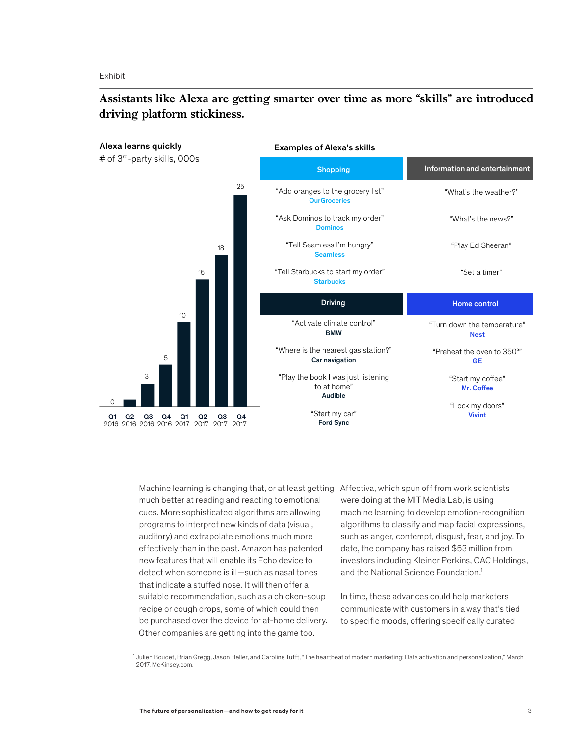Exhibit

## **Assistants like Alexa are getting smarter over time as more "skills" are introduced, driving platform stickiness.**



Machine learning is changing that, or at least getting Affectiva, which spun off from work scientists much better at reading and reacting to emotional cues. More sophisticated algorithms are allowing programs to interpret new kinds of data (visual, auditory) and extrapolate emotions much more effectively than in the past. Amazon has patented new features that will enable its Echo device to detect when someone is ill—such as nasal tones that indicate a stuffed nose. It will then offer a suitable recommendation, such as a chicken-soup recipe or cough drops, some of which could then be purchased over the device for at-home delivery. Other companies are getting into the game too.

were doing at the MIT Media Lab, is using machine learning to develop emotion-recognition algorithms to classify and map facial expressions, such as anger, contempt, disgust, fear, and joy. To date, the company has raised \$53 million from investors including Kleiner Perkins, CAC Holdings, and the National Science Foundation.<sup>1</sup>

In time, these advances could help marketers communicate with customers in a way that's tied to specific moods, offering specifically curated

<sup>1</sup> Julien Boudet, Brian Gregg, Jason Heller, and Caroline Tufft, "The heartbeat of modern marketing: Data activation and personalization," March 2017, McKinsey.com.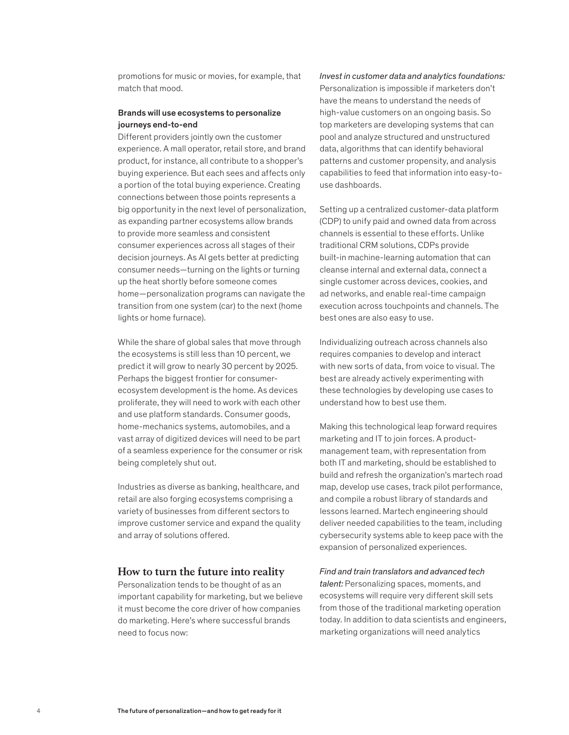promotions for music or movies, for example, that match that mood.

#### Brands will use ecosystems to personalize journeys end-to-end

Different providers jointly own the customer experience. A mall operator, retail store, and brand product, for instance, all contribute to a shopper's buying experience. But each sees and affects only a portion of the total buying experience. Creating connections between those points represents a big opportunity in the next level of personalization, as expanding partner ecosystems allow brands to provide more seamless and consistent consumer experiences across all stages of their decision journeys. As AI gets better at predicting consumer needs—turning on the lights or turning up the heat shortly before someone comes home—personalization programs can navigate the transition from one system (car) to the next (home lights or home furnace).

While the share of global sales that move through the ecosystems is still less than 10 percent, we predict it will grow to nearly 30 percent by 2025. Perhaps the biggest frontier for consumerecosystem development is the home. As devices proliferate, they will need to work with each other and use platform standards. Consumer goods, home-mechanics systems, automobiles, and a vast array of digitized devices will need to be part of a seamless experience for the consumer or risk being completely shut out.

Industries as diverse as banking, healthcare, and retail are also forging ecosystems comprising a variety of businesses from different sectors to improve customer service and expand the quality and array of solutions offered.

#### **How to turn the future into reality**

Personalization tends to be thought of as an important capability for marketing, but we believe it must become the core driver of how companies do marketing. Here's where successful brands need to focus now:

*Invest in customer data and analytics foundations:*  Personalization is impossible if marketers don't have the means to understand the needs of high-value customers on an ongoing basis. So top marketers are developing systems that can pool and analyze structured and unstructured data, algorithms that can identify behavioral patterns and customer propensity, and analysis capabilities to feed that information into easy-touse dashboards.

Setting up a centralized customer-data platform (CDP) to unify paid and owned data from across channels is essential to these efforts. Unlike traditional CRM solutions, CDPs provide built-in machine-learning automation that can cleanse internal and external data, connect a single customer across devices, cookies, and ad networks, and enable real-time campaign execution across touchpoints and channels. The best ones are also easy to use.

Individualizing outreach across channels also requires companies to develop and interact with new sorts of data, from voice to visual. The best are already actively experimenting with these technologies by developing use cases to understand how to best use them.

Making this technological leap forward requires marketing and IT to join forces. A productmanagement team, with representation from both IT and marketing, should be established to build and refresh the organization's martech road map, develop use cases, track pilot performance, and compile a robust library of standards and lessons learned. Martech engineering should deliver needed capabilities to the team, including cybersecurity systems able to keep pace with the expansion of personalized experiences.

*Find and train translators and advanced tech talent:* Personalizing spaces, moments, and ecosystems will require very different skill sets from those of the traditional marketing operation today. In addition to data scientists and engineers, marketing organizations will need analytics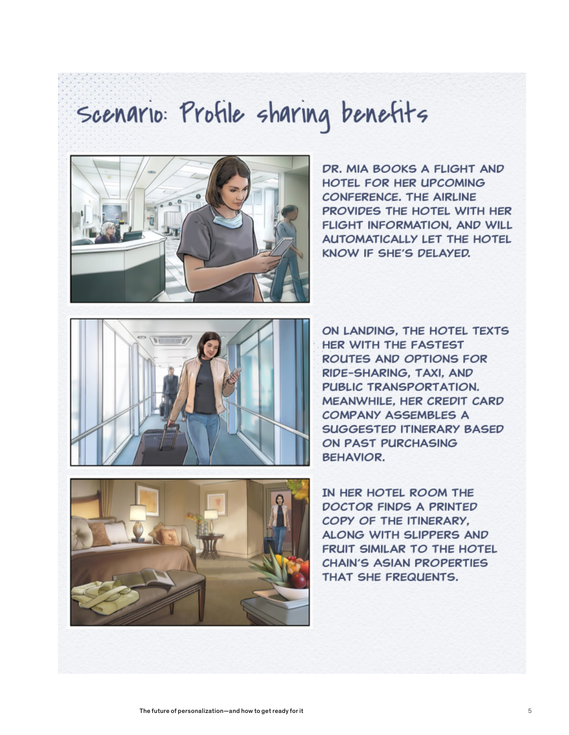# Scenario: Profile sharing benefits



DR. MIA BOOKS A FLIGHT AND HOTEL FOR HER UPCOMING CONFERENCE, THE AIRLINE PROVIDES THE HOTEL WITH HER FLIGHT INFORMATION. AND WILL **AUTOMATICALLY LET THE HOTEL** KNOW IF SHE'S DELAYED.



ON LANDING, THE HOTEL TEXTS **HER WITH THE FASTEST ROUTES AND OPTIONS FOR** RIDE-SHARING, TAXI, AND PUBLIC TRANSPORTATION. MEANWHILE, HER CREDIT CARD **COMPANY ASSEMBLES A SUGGESTED ITINERARY BASED** ON PAST PURCHASING **BEHAVIOR.** 



IN HER HOTEL ROOM THE **DOCTOR FINDS A PRINTED** COPY OF THE ITINERARY. ALONG WITH SLIPPERS AND FRUIT SIMILAR TO THE HOTEL **CHAIN'S ASIAN PROPERTIES** THAT SHE FREQUENTS.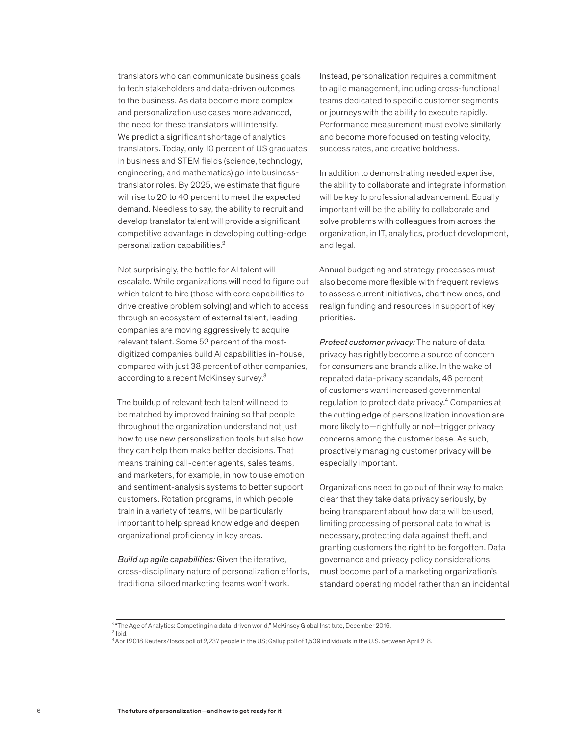translators who can communicate business goals to tech stakeholders and data-driven outcomes to the business. As data become more complex and personalization use cases more advanced, the need for these translators will intensify. We predict a significant shortage of analytics translators. Today, only 10 percent of US graduates in business and STEM fields (science, technology, engineering, and mathematics) go into businesstranslator roles. By 2025, we estimate that figure will rise to 20 to 40 percent to meet the expected demand. Needless to say, the ability to recruit and develop translator talent will provide a significant competitive advantage in developing cutting-edge personalization capabilities.²

Not surprisingly, the battle for AI talent will escalate. While organizations will need to figure out which talent to hire (those with core capabilities to drive creative problem solving) and which to access through an ecosystem of external talent, leading companies are moving aggressively to acquire relevant talent. Some 52 percent of the mostdigitized companies build AI capabilities in-house, compared with just 38 percent of other companies, according to a recent McKinsey survey.<sup>3</sup>

The buildup of relevant tech talent will need to be matched by improved training so that people throughout the organization understand not just how to use new personalization tools but also how they can help them make better decisions. That means training call-center agents, sales teams, and marketers, for example, in how to use emotion and sentiment-analysis systems to better support customers. Rotation programs, in which people train in a variety of teams, will be particularly important to help spread knowledge and deepen organizational proficiency in key areas.

*Build up agile capabilities:* Given the iterative, cross-disciplinary nature of personalization efforts, traditional siloed marketing teams won't work.

Instead, personalization requires a commitment to agile management, including cross-functional teams dedicated to specific customer segments or journeys with the ability to execute rapidly. Performance measurement must evolve similarly and become more focused on testing velocity, success rates, and creative boldness.

In addition to demonstrating needed expertise, the ability to collaborate and integrate information will be key to professional advancement. Equally important will be the ability to collaborate and solve problems with colleagues from across the organization, in IT, analytics, product development, and legal.

Annual budgeting and strategy processes must also become more flexible with frequent reviews to assess current initiatives, chart new ones, and realign funding and resources in support of key priorities.

*Protect customer privacy:* The nature of data privacy has rightly become a source of concern for consumers and brands alike. In the wake of repeated data-privacy scandals, 46 percent of customers want increased governmental regulation to protect data privacy.<sup>4</sup> Companies at the cutting edge of personalization innovation are more likely to—rightfully or not—trigger privacy concerns among the customer base. As such, proactively managing customer privacy will be especially important.

Organizations need to go out of their way to make clear that they take data privacy seriously, by being transparent about how data will be used, limiting processing of personal data to what is necessary, protecting data against theft, and granting customers the right to be forgotten. Data governance and privacy policy considerations must become part of a marketing organization's standard operating model rather than an incidental

<sup>&</sup>lt;sup>2</sup> "The Age of Analytics: Competing in a data-driven world," McKinsey Global Institute, December 2016.

³ Ibid.

<sup>4</sup> April 2018 Reuters/Ipsos poll of 2,237 people in the US; Gallup poll of 1,509 individuals in the U.S. between April 2-8.